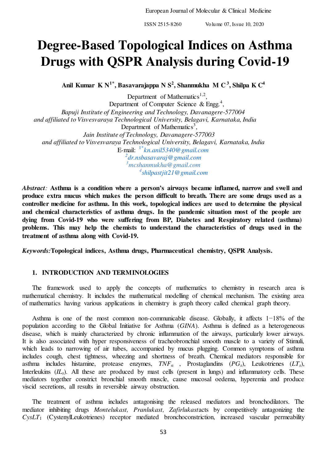# **Degree-Based Topological Indices on Asthma Drugs with QSPR Analysis during Covid-19**

**Anil Kumar K N1\*, Basavarajappa N S<sup>2</sup> , Shanmukha M C<sup>3</sup>, Shilpa K C<sup>4</sup>**

Department of Mathematics<sup>1,2</sup>, Department of Computer Science & Engg.<sup>4</sup>, *Bapuji Institute of Engineering and Technology, Davanagere-577004 and affiliated to Visvesvaraya Technological University, Belagavi, Karnataka, India*  Department of Mathematics<sup>3</sup>,  *Jain Institute of Technology, Davanagere-577003 and affiliated to Visvesvaraya Technological University, Belagavi, Karnataka, India*  E-mail: 1\**[kn.anil5340@gmail.com](mailto:1*kn.anil5340@gmail.com) 2 [dr.nsbasavaraj@gmail.com](mailto:2dr.nsbasavaraj@gmail.com) <sup>3</sup>[mcshanmukha@gmail.com](mailto:mcshanmukha@gmail.com)  4 [shilpastjit21@gmail.com](mailto:shilpastjit21@gmail.com)* 

*Abstract:* **Asthma is a condition where a person's airways became inflamed, narrow and swell and produce extra mucus which makes the person difficult to breath. There are some drugs used as a controller medicine for asthma. In this work, topological indices are used to determine the physical and chemical characteristics of asthma drugs. In the pandemic situation most of the people are dying from Covid-19 who were suffering from BP, Diabetes and Respiratory related (asthma)**  problems. This may help the chemists to understand the characteristics of drugs used in the **treatment of asthma along with Covid-19.** 

*Keywords:***Topological indices, Asthma drugs, Pharmaceutical chemistry, QSPR Analysis.** 

## **1. INTRODUCTION AND TERMINOLOGIES**

The framework used to apply the concepts of mathematics to chemistry in research area is mathematical chemistry. It includes the mathematical modelling of chemical mechanism. The existing area of mathematics having various applications in chemistry is graph theory called chemical graph theory.

Asthma is one of the most common non-communicable disease. Globally, it affects 1−18% of the population according to the Global Initiative for Asthma (*GINA*). Asthma is defined as a heterogeneous disease, which is mainly characterized by chronic inflammation of the airways, particularly lower airways. It is also associated with hyper responsiveness of tracheobronchial smooth muscle to a variety of Stimuli, which leads to narrowing of air tubes, accompanied by mucus plugging. Common symptoms of asthma includes cough, chest tightness, wheezing and shortness of breath. Chemical mediators responsible for asthma includes histamine, protease enzymes, *TNFα* , Prostaglandins (*PGs*), Leukotrienes (*LTs*), Interleukins (*IL*<sub>s</sub>). All these are produced by mast cells (present in lungs) and inflammatory cells. These mediators together constrict bronchial smooth muscle, cause mucosal oedema, hyperemia and produce viscid secretions, all results in reversible airway obstruction.

The treatment of asthma includes antagonising the released mediators and bronchodilators. The mediator inhibiting drugs *Montelukast, Pranlukast, Zafirlukast*acts by competitively antagonizing the *CysLT*1 (CystenylLeukotrienes) receptor mediated bronchoconstriction, increased vascular permeability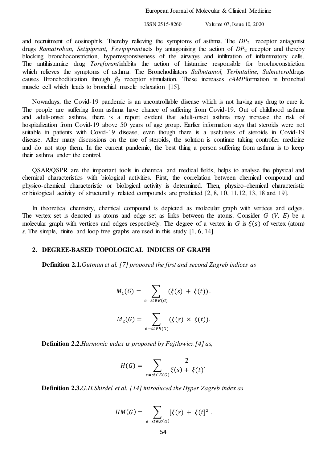and recruitment of eosinophils. Thereby relieving the symptoms of asthma. The  $DP<sub>2</sub>$  receptor antagonist drugs *Ramatroban, Setipiprant, Fevipiprant*acts by antagonising the action of *DP*2 receptor and thereby blocking bronchoconstriction, hyperresponsiveness of the airways and infiltration of inflammatory cells. The antihistamine drug *Toreforant*inhibits the action of histamine responsible for brochoconstriction which relieves the symptoms of asthma. The Bronchodilators *Salbutamol, Terbutaline, Salmeterol*drugs causes Bronchodilatation through *β*2 receptor stimulation. These increases *cAMP*formation in bronchial muscle cell which leads to bronchial muscle relaxation [15].

Nowadays, the Covid-19 pandemic is an uncontrollable disease which is not having any drug to cure it. The people are suffering from asthma have chance of suffering from Covid-19. Out of childhood asthma and adult-onset asthma, there is a report evident that adult-onset asthma may increase the risk of hospitalization from Covid-19 above 50 years of age group. Earlier information says that steroids were not suitable in patients with Covid-19 disease, even though there is a usefulness of steroids in Covid-19 disease. After many discussions on the use of steroids, the solution is continue taking controller medicine and do not stop them. In the current pandemic, the best thing a person suffering from asthma is to keep their asthma under the control.

QSAR/QSPR are the important tools in chemical and medical fields, helps to analyse the physical and chemical characteristics with biological activities. First, the correlation between chemical compound and physico-chemical characteristic or biological activity is determined. Then, physico-chemical characteristic or biological activity of structurally related compounds are predicted [2, 8, 10, 11,12, 13, 18 and 19].

In theoretical chemistry, chemical compound is depicted as molecular graph with vertices and edges. The vertex set is denoted as atoms and edge set as links between the atoms. Consider *G* (*V, E*) be a molecular graph with vertices and edges respectively. The degree of a vertex in *G* is  $\xi(s)$  of vertex (atom) *s*. The simple, finite and loop free graphs are used in this study [1, 6, 14].

## **2. DEGREE-BASED TOPOLOGICAL INDICES OF GRAPH**

**Definition 2.1.***Gutman et al. [7] proposed the first and second Zagreb indices as*

$$
M_1(G) = \sum_{e = st \in E(G)} (\xi(s) + \xi(t)).
$$

$$
M_2(G) = \sum_{e=st \in E(G)} (\xi(s) \times \xi(t)).
$$

**Definition 2.2.***Harmonic index is proposed by Fajtlowicz [4] as,* 

$$
H(G) = \sum_{e=st \in E(G)} \frac{2}{\xi(s) + \xi(t)}.
$$

**Definition 2.3.***G.H.Shirdel et al. [14] introduced the Hyper Zagreb index as*

$$
HM(G) = \sum_{e=st \in E(G)} [\xi(s) + \xi(t)]^{2}.
$$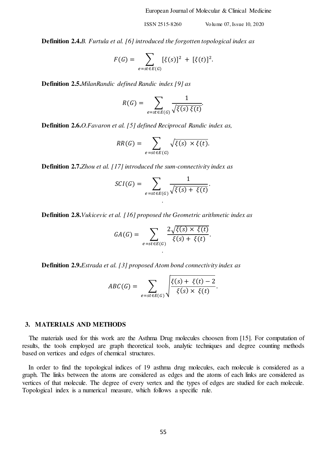**Definition 2.4.***B. Furtula et al. [6] introduced the forgotten topological index as*

$$
F(G) = \sum_{e = st \in E(G)} [\xi(s)]^2 + [\xi(t)]^2.
$$

**Definition 2.5.***MilanRandic defined Randic index [9] as*

$$
R(G) = \sum_{e=st \in E(G)} \frac{1}{\sqrt{\xi(s)\ \xi(t)}}
$$

**Definition 2.6.***O.Favaron et al. [5] defined Reciprocal Randic index as,*

$$
RR(G) = \sum_{e=st \in E(G)} \sqrt{\xi(s) \times \xi(t)}.
$$

**Definition 2.7.***Zhou et al. [17] introduced the sum-connectivity index as*

$$
SCI(G)=\sum_{e=st\in E(G)}\frac{1}{\sqrt{\xi(s)+\xi(t)}}.
$$

*.*

**Definition 2.8.***Vukicevic et al. [16] proposed the Geometric arithmetic index as*

$$
GA(G) = \sum_{e = st \in E(G)} \frac{2\sqrt{\xi(s)} \times \xi(t)}{\xi(s) + \xi(t)}.
$$

*.*

**Definition 2.9.***Estrada et al. [3] proposed Atom bond connectivity index as*

$$
ABC(G) = \sum_{e=st \in E(G)} \sqrt{\frac{\xi(s) + \xi(t) - 2}{\xi(s) \times \xi(t)}}.
$$

#### **3. MATERIALS AND METHODS**

The materials used for this work are the Asthma Drug molecules choosen from [15]. For computation of results, the tools employed are graph theoretical tools, analytic techniques and degree counting methods based on vertices and edges of chemical structures.

In order to find the topological indices of 19 asthma drug molecules, each molecule is considered as a graph. The links between the atoms are considered as edges and the atoms of each links are considered as vertices of that molecule. The degree of every vertex and the types of edges are studied for each molecule. Topological index is a numerical measure, which follows a specific rule.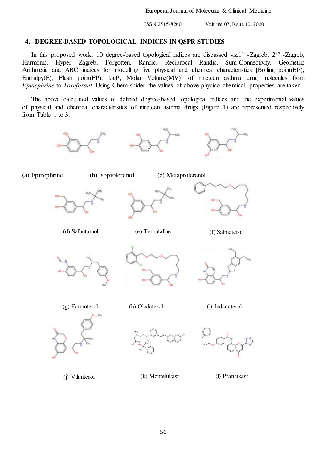## **4. DEGREE-BASED TOPOLOGICAL INDICES IN QSPR STUDIES**

In this proposed work, 10 degree-based topological indices are discussed viz.1<sup>st</sup> -Zagreb, 2<sup>nd</sup> -Zagreb, 7<sup>nm</sup> -Zagreb, 7nmonic, Hyper Zagreb, Forgotten, Randic, Reciprocal Randic, Sum-Connectivity, Geometric Harmonic, Hyper Zagreb, Forgotten, Randic, Reciprocal Randic, Sum-Connectivity, Geometric Arithmetic and ABC indices for modelling five physical and chemical characteristics [Boiling point(BP), Enthalpy(E), Flash point(FP), logP, Molar Volume(MV)] of nineteen asthma drug molecules from *Epinephrine* to *Toreforant*. Using Chem-spider the values of above physico-chemical properties are taken.

The above calculated values of defined degree-based topological indices and the experimental values of physical and chemical characteristics of nineteen asthma drugs (Figure 1) are represented respectively from Table 1 to 3.

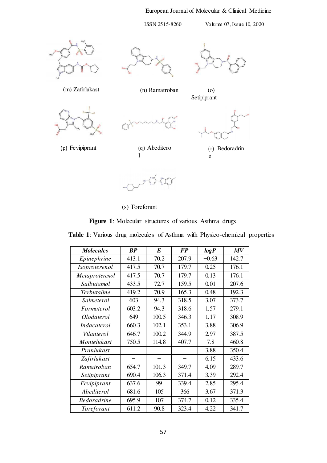## European Journal of Molecular & Clinical Medicine

Setipiprant

ISSN 2515-8260 Volume 07, Issue 10, 2020







(m) Zafirlukast (n) Ramatroban (o)







(r) Bedoradrin e

(s) Toreforant

l

(p) Fevipiprant (q) Abeditero

**Figure 1**: Molecular structures of various Asthma drugs.

**Table 1**: Various drug molecules of Asthma with Physico-chemical properties

| <b>Molecules</b>   | BP    | E     | <b>FP</b> | logP    | MV    |
|--------------------|-------|-------|-----------|---------|-------|
| Epinephrine        | 413.1 | 70.2  | 207.9     | $-0.63$ | 142.7 |
| Isoproterenol      | 417.5 | 70.7  | 179.7     | 0.25    | 176.1 |
| Metaproterenol     | 417.5 | 70.7  | 179.7     | 0.13    | 176.1 |
| Salbutamol         | 433.5 | 72.7  | 159.5     | 0.01    | 207.6 |
| Terbutaline        | 419.2 | 70.9  | 165.3     | 0.48    | 192.3 |
| Salmeterol         | 603   | 94.3  | 318.5     | 3.07    | 373.7 |
| Formoterol         | 603.2 | 94.3  | 318.6     | 1.57    | 279.1 |
| Olodaterol         | 649   | 100.5 | 346.3     | 1.17    | 308.9 |
| Indacaterol        | 660.3 | 102.1 | 353.1     | 3.88    | 306.9 |
| Vilanterol         | 646.7 | 100.2 | 344.9     | 2.97    | 387.5 |
| Montelukast        | 750.5 | 114.8 | 407.7     | 7.8     | 460.8 |
| Pranlukast         |       |       |           | 3.88    | 350.4 |
| Zafirlukast        |       |       |           | 6.15    | 433.6 |
| Ramatroban         | 654.7 | 101.3 | 349.7     | 4.09    | 289.7 |
| Setipiprant        | 690.4 | 106.3 | 371.4     | 3.39    | 292.4 |
| Fevipiprant        | 637.6 | 99    | 339.4     | 2.85    | 295.4 |
| Abediterol         | 681.6 | 105   | 366       | 3.67    | 371.3 |
| <b>Bedoradrine</b> | 695.9 | 107   | 374.7     | 0.12    | 335.4 |
| Toreforant         | 611.2 | 90.8  | 323.4     | 4.22    | 341.7 |

57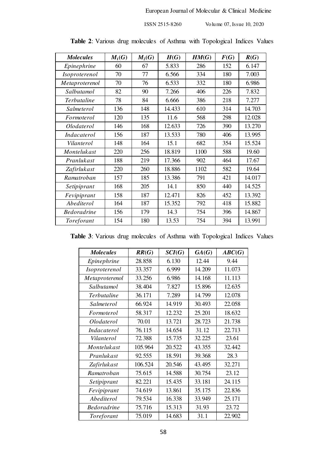| <b>Molecules</b>   | $M_1(G)$ | $M_2(G)$ | H(G)   | HM(G) | F(G) | R(G)   |
|--------------------|----------|----------|--------|-------|------|--------|
| Epinephrine        | 60       | 67       | 5.833  | 286   | 152  | 6.147  |
| Isoproterenol      | 70       | 77       | 6.566  | 334   | 180  | 7.003  |
| Metaproterenol     | 70       | 76       | 6.533  | 332   | 180  | 6.986  |
| Salbutamol         | 82       | 90       | 7.266  | 406   | 226  | 7.832  |
| Terbutaline        | 78       | 84       | 6.666  | 386   | 218  | 7.277  |
| Salmeterol         | 136      | 148      | 14.433 | 610   | 314  | 14.703 |
| Formoterol         | 120      | 135      | 11.6   | 568   | 298  | 12.028 |
| Olodaterol         | 146      | 168      | 12.633 | 726   | 390  | 13.270 |
| Indacaterol        | 156      | 187      | 13.533 | 780   | 406  | 13.995 |
| Vilanterol         | 148      | 164      | 15.1   | 682   | 354  | 15.524 |
| Montelukast        | 220      | 256      | 18.819 | 1100  | 588  | 19.60  |
| Pranlukast         | 188      | 219      | 17.366 | 902   | 464  | 17.67  |
| Zafirlukast        | 220      | 260      | 18.886 | 1102  | 582  | 19.64  |
| Ramatroban         | 157      | 185      | 13.386 | 791   | 421  | 14.017 |
| Setipiprant        | 168      | 205      | 14.1   | 850   | 440  | 14.525 |
| Fevipiprant        | 158      | 187      | 12.471 | 826   | 452  | 13.392 |
| Abediterol         | 164      | 187      | 15.352 | 792   | 418  | 15.882 |
| <b>Bedoradrine</b> | 156      | 179      | 14.3   | 754   | 396  | 14.867 |
| Toreforant         | 154      | 180      | 13.53  | 754   | 394  | 13.991 |

**Table 2**: Various drug molecules of Asthma with Topological Indices Values

|  |  |  |  |  |  | Table 3: Various drug molecules of Asthma with Topological Indices Values |  |  |
|--|--|--|--|--|--|---------------------------------------------------------------------------|--|--|
|--|--|--|--|--|--|---------------------------------------------------------------------------|--|--|

| <b>Molecules</b>   | RR(G)   | $\mathcal{S}\mathcal{C}\mathcal{I}(G)$ | GA(G)  | ABC(G) |
|--------------------|---------|----------------------------------------|--------|--------|
| Epinephrine        | 28.858  | 6.130                                  | 12.44  | 9.44   |
| Isoproterenol      | 33.357  | 6.999                                  | 14.209 | 11.073 |
| Metaproterenol     | 33.256  | 6.986                                  | 14.168 | 11.113 |
| Salbutamol         | 38.404  | 7.827                                  | 15.896 | 12.635 |
| Terbutaline        | 36.171  | 7.289                                  | 14.799 | 12.078 |
| Salmeterol         | 66.924  | 14.919                                 | 30.493 | 22.058 |
| Formoterol         | 58.317  | 12.232                                 | 25.201 | 18.632 |
| Olodaterol         | 70.01   | 13.721                                 | 28.723 | 21.738 |
| <i>Indacaterol</i> | 76.115  | 14.654                                 | 31.12  | 22.713 |
| Vilanterol         | 72.388  | 15.735                                 | 32.225 | 23.61  |
| Montelukast        | 105.964 | 20.522                                 | 43.355 | 32.442 |
| Pranlukast         | 92.555  | 18.591                                 | 39.368 | 28.3   |
| Zafirlukast        | 106.524 | 20.546                                 | 43.495 | 32.271 |
| Ramatroban         | 75.615  | 14.588                                 | 30.754 | 23.12  |
| Setipiprant        | 82.221  | 15.435                                 | 33.181 | 24.115 |
| Fevipiprant        | 74.619  | 13.861                                 | 35.175 | 22.836 |
| Abediterol         | 79.534  | 16.338                                 | 33.949 | 25.171 |
| <b>Bedoradrine</b> | 75.716  | 15.313                                 | 31.93  | 23.72  |
| Toreforant         | 75.019  | 14.683                                 | 31.1   | 22.902 |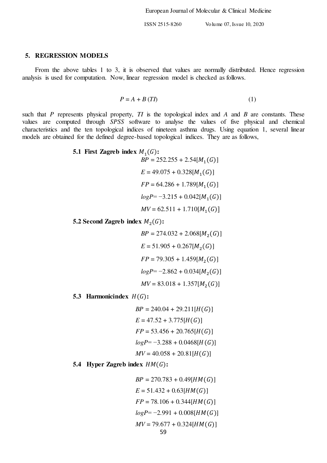#### **5. REGRESSION MODELS**

From the above tables 1 to 3, it is observed that values are normally distributed. Hence regression analysis is used for computation. Now, linear regression model is checked as follows.

$$
P = A + B(TI) \tag{1}
$$

such that *P* represents physical property, *TI* is the topological index and *A* and *B* are constants. These values are computed through *SPSS* software to analyse the values of five physical and chemical characteristics and the ten topological indices of nineteen asthma drugs. Using equation 1, several linear models are obtained for the defined degree-based topological indices. They are as follows,

5.1 First Zagreb index 
$$
M_1(G)
$$
:  
\n
$$
BP = 252.255 + 2.54[M_1(G)]
$$
\n
$$
E = 49.075 + 0.328[M_1(G)]
$$
\n
$$
FP = 64.286 + 1.789[M_1(G)]
$$
\n
$$
logP = -3.215 + 0.042[M_1(G)]
$$
\n
$$
MV = 62.511 + 1.710[M_1(G)]
$$

**5.2** Second Zagreb index  $M_2(G)$ :

 $BP = 274.032 + 2.068[M_2(G)]$  $E = 51.905 + 0.267[M_2(G)]$  $FP = 79.305 + 1.459[M_2(G)]$  $logP = -2.862 + 0.034[M_2(G)]$  $MV = 83.018 + 1.357[M_2(G)]$ 

**5.3 Harmonicindex**  $H(G)$ :

$$
BP = 240.04 + 29.211[H(G)]
$$
  
\n
$$
E = 47.52 + 3.775[H(G)]
$$
  
\n
$$
FP = 53.456 + 20.765[H(G)]
$$
  
\n
$$
logP = -3.288 + 0.0468[H(G)]
$$
  
\n
$$
MV = 40.058 + 20.81[H(G)]
$$

**5.4 Hyper Zagreb index**  $HM(G)$ :

 $BP = 270.783 + 0.49$ [*HM*(*G*)]  $E = 51.432 + 0.63$ [*HM*(*G*)]  $FP = 78.106 + 0.344$ [*HM*(*G*)]  $logP = -2.991 + 0.008$ [ $HM(G)$ ]  $MV = 79.677 + 0.324$ [ $HM(G)$ ]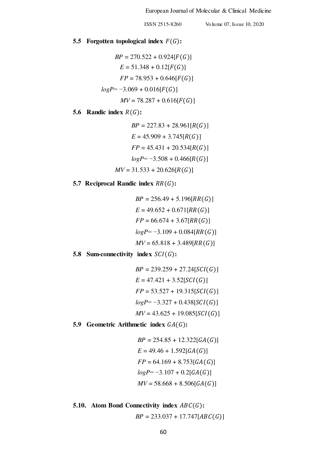## **5.5 Forgotten topological index**  $F(G)$ :

$$
BP = 270.522 + 0.924[F(G)]
$$
  
\n
$$
E = 51.348 + 0.12[F(G)]
$$
  
\n
$$
FP = 78.953 + 0.646[F(G)]
$$
  
\n
$$
logP = -3.069 + 0.016[F(G)]
$$
  
\n
$$
MV = 78.287 + 0.616[F(G)]
$$

## **5.6** Randic index  $R(G)$ :

$$
BP = 227.83 + 28.961[R(G)]
$$
  
\n
$$
E = 45.909 + 3.745[R(G)]
$$
  
\n
$$
FP = 45.431 + 20.534[R(G)]
$$
  
\n
$$
logP = -3.508 + 0.466[R(G)]
$$
  
\n
$$
MV = 31.533 + 20.626[R(G)]
$$

## **5.7 Reciprocal Randic index**  $RR(G)$ :

$$
BP = 256.49 + 5.196[RR(G)]
$$
  
\n
$$
E = 49.652 + 0.671[RR(G)]
$$
  
\n
$$
FP = 66.674 + 3.67[RR(G)]
$$
  
\n
$$
logP = -3.109 + 0.084[RR(G)]
$$
  
\n
$$
MV = 65.818 + 3.489[RR(G)]
$$

## **5.8 Sum-connectivity index**  $SCI(G)$ **:**

$$
BP = 239.259 + 27.24[SCI(G)]
$$
  
\n
$$
E = 47.421 + 3.52[SCI(G)]
$$
  
\n
$$
FP = 53.527 + 19.315[SCI(G)]
$$
  
\n
$$
logP = -3.327 + 0.438[SCI(G)]
$$
  
\n
$$
MV = 43.625 + 19.085[SCI(G)]
$$

## **5.9 Geometric Arithmetic index**  $GA(G)$ **:**

$$
BP = 254.85 + 12.322[GA(G)]
$$
  
\n
$$
E = 49.46 + 1.592[GA(G)]
$$
  
\n
$$
FP = 64.169 + 8.753[GA(G)]
$$
  
\n
$$
logP = -3.107 + 0.2[GA(G)]
$$
  
\n
$$
MV = 58.668 + 8.506[GA(G)]
$$

## **5.10.** Atom Bond Connectivity index  $ABC(G)$ :  $BP = 233.037 + 17.747[ABC(G)]$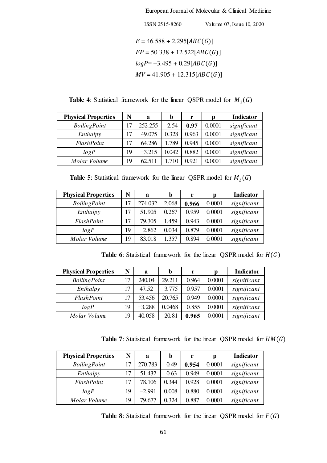European Journal of Molecular & Clinical Medicine

\n
$$
ISSN 2515-8260
$$
 *Volume 07, Issue 10, 2020*\n

\n\n
$$
E = 46.588 + 2.295[ABC(G)]
$$
\n

\n\n
$$
FP = 50.338 + 12.522[ABC(G)]
$$
\n

\n\n
$$
logP = -3.495 + 0.29[ABC(G)]
$$
\n

\n\n
$$
MV = 41.905 + 12.315[ABC(G)]
$$
\n

**Table 4:** Statistical framework for the linear QSPR model for  $M_1(G)$ 

| <b>Physical Properties</b> | N  | a        | b     | r     | p      | <b>Indicator</b> |
|----------------------------|----|----------|-------|-------|--------|------------------|
| <b>BoilingPoint</b>        | 17 | 252.255  | 2.54  | 0.97  | 0.0001 | significant      |
| Enthalpy                   | 17 | 49.075   | 0.328 | 0.963 | 0.0001 | significant      |
| FlashPoint                 | 17 | 64.286   | 1.789 | 0.945 | 0.0001 | significant      |
| logP                       | 19 | $-3.215$ | 0.042 | 0.882 | 0.0001 | significant      |
| Molar Volume               | 19 | 62.511   | 1.710 | 0.921 | 0.0001 | significant      |

**Table 5**: Statistical framework for the linear QSPR model for  $M_2(G)$ 

| <b>Physical Properties</b> | N  | a        | b     | r     | p      | <b>Indicator</b> |
|----------------------------|----|----------|-------|-------|--------|------------------|
| <b>BoilingPoint</b>        | 17 | 274.032  | 2.068 | 0.966 | 0.0001 | significant      |
| Enthalpy                   | 17 | 51.905   | 0.267 | 0.959 | 0.0001 | significant      |
| FlashPoint                 | 17 | 79.305   | 1.459 | 0.943 | 0.0001 | significant      |
| logP                       | 19 | $-2.862$ | 0.034 | 0.879 | 0.0001 | significant      |
| Molar Volume               | 19 | 83.018   | 1.357 | 0.894 | 0.0001 | significant      |

**Table 6**: Statistical framework for the linear QSPR model for  $H(G)$ 

| <b>Physical Properties</b> | N  | a        | b      | r     | p      | <b>Indicator</b> |
|----------------------------|----|----------|--------|-------|--------|------------------|
| <b>BoilingPoint</b>        | 17 | 240.04   | 29.211 | 0.964 | 0.0001 | significant      |
| Enthalpy                   | 17 | 47.52    | 3.775  | 0.957 | 0.0001 | significant      |
| FlashPoint                 | 17 | 53.456   | 20.765 | 0.949 | 0.0001 | significant      |
| logP                       | 19 | $-3.288$ | 0.0468 | 0.855 | 0.0001 | significant      |
| Molar Volume               | 19 | 40.058   | 20.81  | 0.965 | 0.0001 | significant      |

**Table 7**: Statistical framework for the linear QSPR model for  $HM(G)$ 

| <b>Physical Properties</b> | N  | a        | b     | r     | р      | <b>Indicator</b> |
|----------------------------|----|----------|-------|-------|--------|------------------|
| <b>BoilingPoint</b>        | 17 | 270.783  | 0.49  | 0.954 | 0.0001 | significant      |
| Enthalpy                   | 17 | 51.432   | 0.63  | 0.949 | 0.0001 | significant      |
| FlashPoint                 | 17 | 78.106   | 0.344 | 0.928 | 0.0001 | significant      |
| logP                       | 19 | $-2.991$ | 0.008 | 0.880 | 0.0001 | significant      |
| Molar Volume               | 19 | 79.677   | 0.324 | 0.887 | 0.0001 | significant      |

**Table 8**: Statistical framework for the linear QSPR model for  $F(G)$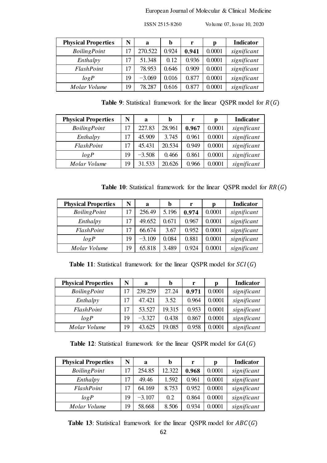| <b>Physical Properties</b> | N  | a        | b     | r     | Ŋ      | Indicator   |
|----------------------------|----|----------|-------|-------|--------|-------------|
| <b>BoilingPoint</b>        | 17 | 270.522  | 0.924 | 0.941 | 0.0001 | significant |
| Enthalpy                   | 17 | 51.348   | 0.12  | 0.936 | 0.0001 | significant |
| FlashPoint                 | 17 | 78.953   | 0.646 | 0.909 | 0.0001 | significant |
| logP                       | 19 | $-3.069$ | 0.016 | 0.877 | 0.0001 | significant |
| Molar Volume               | 19 | 78.287   | 0.616 | 0.877 | 0.0001 | significant |

**Table 9**: Statistical framework for the linear QSPR model for  $R(G)$ 

| <b>Physical Properties</b> | N  | a        | b      | r     | р      | <b>Indicator</b> |
|----------------------------|----|----------|--------|-------|--------|------------------|
| <b>BoilingPoint</b>        | 17 | 227.83   | 28.961 | 0.967 | 0.0001 | significant      |
| Enthalpy                   | 17 | 45.909   | 3.745  | 0.961 | 0.0001 | significant      |
| FlashPoint                 | 17 | 45.431   | 20.534 | 0.949 | 0.0001 | significant      |
| logP                       | 19 | $-3.508$ | 0.466  | 0.861 | 0.0001 | significant      |
| Molar Volume               | 19 | 31.533   | 20.626 | 0.966 | 0.0001 | significant      |

**Table 10:** Statistical framework for the linear QSPR model for  $RR(G)$ 

| <b>Physical Properties</b> | N  | a        | b     | r     | D      | <b>Indicator</b> |
|----------------------------|----|----------|-------|-------|--------|------------------|
| <b>BoilingPoint</b>        | 17 | 256.49   | 5.196 | 0.974 | 0.0001 | significant      |
| Enthalpy                   | 17 | 49.652   | 0.671 | 0.967 | 0.0001 | significant      |
| FlashPoint                 | 17 | 66.674   | 3.67  | 0.952 | 0.0001 | significant      |
| logP                       | 19 | $-3.109$ | 0.084 | 0.881 | 0.0001 | significant      |
| Molar Volume               | 19 | 65.818   | 3.489 | 0.924 | 0.0001 | significant      |

**Table 11**: Statistical framework for the linear QSPR model for  $SCI(G)$ 

| <b>Physical Properties</b> | N  | a        | b      | r     | p      | <b>Indicator</b> |
|----------------------------|----|----------|--------|-------|--------|------------------|
| <b>BoilingPoint</b>        | 17 | 239.259  | 27.24  | 0.971 | 0.0001 | significant      |
| Enthalpy                   | 17 | 47.421   | 3.52   | 0.964 | 0.0001 | significant      |
| FlashPoint                 | 17 | 53.527   | 19.315 | 0.953 | 0.0001 | significant      |
| logP                       | 19 | $-3.327$ | 0.438  | 0.867 | 0.0001 | significant      |
| Molar Volume               | 19 | 43.625   | 19.085 | 0.958 | 0.0001 | significant      |

**Table 12**: Statistical framework for the linear QSPR model for  $GA(G)$ 

| <b>Physical Properties</b> | N  | a        | b      | r     | p      | <b>Indicator</b> |
|----------------------------|----|----------|--------|-------|--------|------------------|
| <b>BoilingPoint</b>        | 17 | 254.85   | 12.322 | 0.968 | 0.0001 | significant      |
| Enthalpy                   | 17 | 49.46    | 1.592  | 0.961 | 0.0001 | significant      |
| FlashPoint                 | 17 | 64.169   | 8.753  | 0.952 | 0.0001 | significant      |
| logP                       | 19 | $-3.107$ | 0.2    | 0.864 | 0.0001 | significant      |
| Molar Volume               | 19 | 58.668   | 8.506  | 0.934 | 0.0001 | significant      |

**Table 13**: Statistical framework for the linear QSPR model for  $ABC(G)$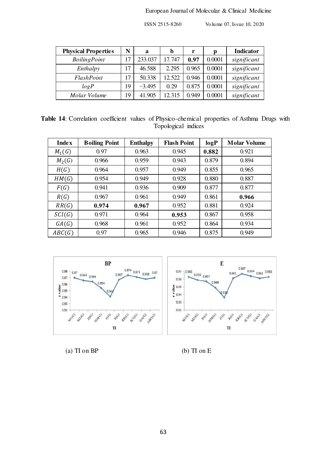| <b>Physical Properties</b> | N  | a        | b      | r     | p      | <b>Indicator</b> |
|----------------------------|----|----------|--------|-------|--------|------------------|
| <b>BoilingPoint</b>        | 17 | 233.037  | 17.747 | 0.97  | 0.0001 | significant      |
| Enthalpy                   | 17 | 46.588   | 2.295  | 0.965 | 0.0001 | significant      |
| FlashPoint                 | 17 | 50.338   | 12.522 | 0.946 | 0.0001 | significant      |
| logP                       | 19 | $-3.495$ | 0.29   | 0.875 | 0.0001 | significant      |
| Molar Volume               | 19 | 41.905   | 12.315 | 0.949 | 0.0001 | significant      |

**Table 14**: Correlation coefficient values of Physico-chemical properties of Asthma Drugs with Topological indices

| <b>Index</b> | <b>Boiling Point</b> | <b>Enthalpy</b> | <b>Flash Point</b> | logP  | <b>Molar Volume</b> |
|--------------|----------------------|-----------------|--------------------|-------|---------------------|
| $M_1(G)$     | 0.97                 | 0.963           | 0.945              | 0.882 | 0.921               |
| $M_2(G)$     | 0.966                | 0.959           | 0.943              | 0.879 | 0.894               |
| H(G)         | 0.964                | 0.957           | 0.949              | 0.855 | 0.965               |
| HM(G)        | 0.954                | 0.949           | 0.928              | 0.880 | 0.887               |
| F(G)         | 0.941                | 0.936           | 0.909              | 0.877 | 0.877               |
| R(G)         | 0.967                | 0.961           | 0.949              | 0.861 | 0.966               |
| RR(G)        | 0.974                | 0.967           | 0.952              | 0.881 | 0.924               |
| SCI(G)       | 0.971                | 0.964           | 0.953              | 0.867 | 0.958               |
| GA(G)        | 0.968                | 0.961           | 0.952              | 0.864 | 0.934               |
| ABC(G)       | 0.97                 | 0.965           | 0.946              | 0.875 | 0.949               |



(a)  $T1$  on  $BP$  (b)  $T1$  on  $E$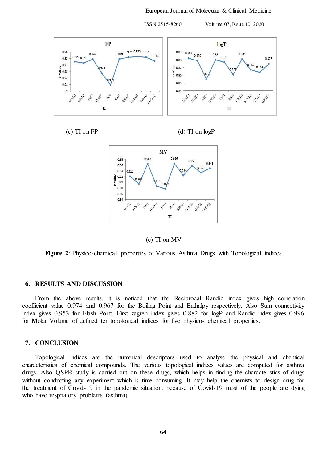



(c)  $\overline{II}$  on  $\overline{FP}$  (d)  $\overline{II}$  on  $\log P$ 





**Figure 2**: Physico-chemical properties of Various Asthma Drugs with Topological indices

#### **6. RESULTS AND DISCUSSION**

From the above results, it is noticed that the Reciprocal Randic index gives high correlation coefficient value 0.974 and 0.967 for the Boiling Point and Enthalpy respectively. Also Sum connectivity index gives 0.953 for Flash Point, First zagreb index gives 0.882 for logP and Randic index gives 0.996 for Molar Volume of defined ten topological indices for five physico- chemical properties.

#### **7. CONCLUSION**

Topological indices are the numerical descriptors used to analyse the physical and chemical characteristics of chemical compounds. The various topological indices values are computed for asthma drugs. Also QSPR study is carried out on these drugs, which helps in finding the characteristics of drugs without conducting any experiment which is time consuming. It may help the chemists to design drug for the treatment of Covid-19 in the pandemic situation, because of Covid-19 most of the people are dying who have respiratory problems (asthma).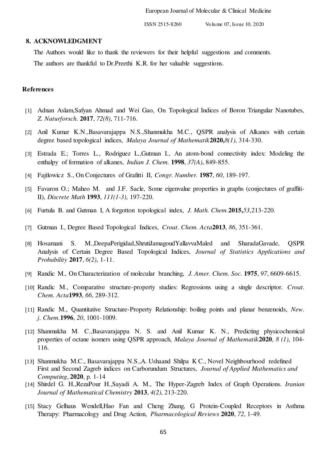## **8. ACKNOWLEDGMENT**

The Authors would like to thank the reviewers for their helpful suggestions and comments. The authors are thankful to Dr.Preethi K.R. for her valuable suggestions.

#### **References**

- [1] Adnan Aslam,Safyan Ahmad and Wei Gao, On Topological Indices of Boron Triangular Nanotubes, *Z. Naturforsch.* **2017**, *72(8)*, 711-716.
- [2] Anil Kumar K.N.,Basavarajappa N.S.,Shanmukha M.C., QSPR analysis of Alkanes with certain degree based topological indices, *Malaya Journal of Mathematik***2020,***8(1)*, 314-330.
- [3] Estrada E.; Torres L., Rodriguez L.,Gutman I., An atom-bond connectivity index: Modeling the enthalpy of formation of alkanes, *Indian J. Chem.* **1998**, *37(A)*, 849-855.
- [4] Fajtlowicz S., On Conjectures of Grafitti II, *Congr. Number.* **1987**, *60*, 189-197.
- [5] Favaron O.; Maheo M. and J.F. Sacle, Some eigenvalue properties in graphs (conjectures of graffiti-II), *Discrete Math* **1993**, *111(1-3)*, 197-220.
- [6] Furtula B. and Gutman I, A forgotton topological index, *J. Math. Chem.***2015,***53*,213-220.
- [7] Gutman I., Degree Based Topological Indices, *Croat. Chem. Acta***2013**, *86*, 351-361.
- [8] Hosamani S. M.,DeepaPerigidad,ShrutiJamagoudYallavvaMaled and SharadaGavade, QSPR Analysis of Certain Degree Based Topological Indices, *Journal of Statistics Applications and Probability* **2017**, *6(2)*, 1-11.
- [9] Randic M., On Characterization of molecular branching, *J. Amer. Chem. Soc.* **1975**, *97*, 6609-6615.
- [10] Randic M., Comparative structure-property studies: Regressions using a single descriptor. *Croat. Chem. Acta***1993**, *66*, 289-312.
- [11] Randic M., Quantitative Structure-Property Relationship: boiling points and planar benzenoids, *New. j. Chem.***1996**, *20*, 1001-1009.
- [12] Shanmukha M. C.,Basavarajappa N. S. and Anil Kumar K. N., Predicting physicochemical properties of octane isomers using QSPR approach, *Malaya Journal of Mathematik***2020**, *8 (1)*, 104- 116.
- [13] Shanmukha M.C., Basavarajappa N.S., A. Ushaand Shilpa K C., Novel Neighbourhood redefined First and Second Zagreb indices on Carborundum Structures, *Journal of Applied Mathematics and Computing*, **2020**, p. 1-14
- [14] Shirdel G. H.,RezaPour H.,Sayadi A. M., The Hyper-Zagreb Index of Graph Operations. *Iranian Journal of Mathematical Chemistry* **2013**, *4(2)*, 213-220.
- [15] Stacy Gelhaus Wendell, Hao Fan and Cheng Zhang, G Protein-Coupled Receptors in Asthma Therapy: Pharmacology and Drug Action, *Pharmacological Reviews* **2020**, *72*, 1-49.